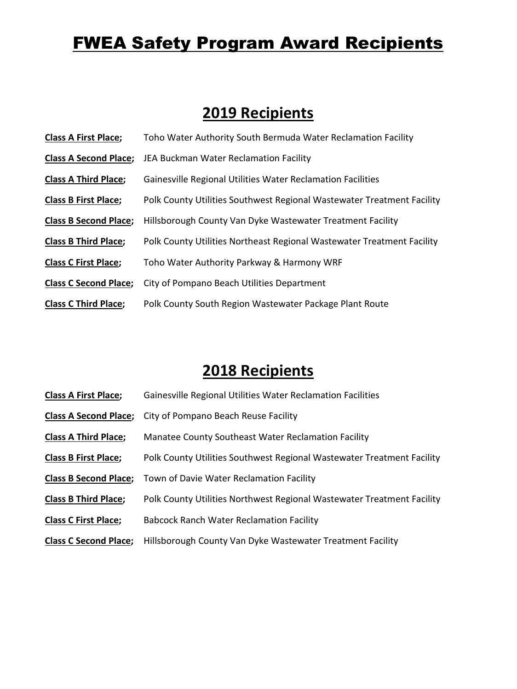# **FWEA Safety Program Award Recipients**

### **2019 Recipients**

| <b>Class A First Place;</b>  | Toho Water Authority South Bermuda Water Reclamation Facility          |
|------------------------------|------------------------------------------------------------------------|
| <b>Class A Second Place;</b> | JEA Buckman Water Reclamation Facility                                 |
| <b>Class A Third Place;</b>  | Gainesville Regional Utilities Water Reclamation Facilities            |
| <b>Class B First Place;</b>  | Polk County Utilities Southwest Regional Wastewater Treatment Facility |
| <b>Class B Second Place;</b> | Hillsborough County Van Dyke Wastewater Treatment Facility             |
| <b>Class B Third Place;</b>  | Polk County Utilities Northeast Regional Wastewater Treatment Facility |
| <b>Class C First Place;</b>  | Toho Water Authority Parkway & Harmony WRF                             |
| <b>Class C Second Place;</b> | City of Pompano Beach Utilities Department                             |
| <b>Class C Third Place;</b>  | Polk County South Region Wastewater Package Plant Route                |

## **2018 Recipients**

| <b>Class A First Place;</b>  | Gainesville Regional Utilities Water Reclamation Facilities            |
|------------------------------|------------------------------------------------------------------------|
| <b>Class A Second Place;</b> | City of Pompano Beach Reuse Facility                                   |
| <b>Class A Third Place;</b>  | Manatee County Southeast Water Reclamation Facility                    |
| <b>Class B First Place;</b>  | Polk County Utilities Southwest Regional Wastewater Treatment Facility |
| <b>Class B Second Place;</b> | Town of Davie Water Reclamation Facility                               |
| <b>Class B Third Place;</b>  | Polk County Utilities Northwest Regional Wastewater Treatment Facility |
| <b>Class C First Place;</b>  | <b>Babcock Ranch Water Reclamation Facility</b>                        |
| <b>Class C Second Place;</b> | Hillsborough County Van Dyke Wastewater Treatment Facility             |